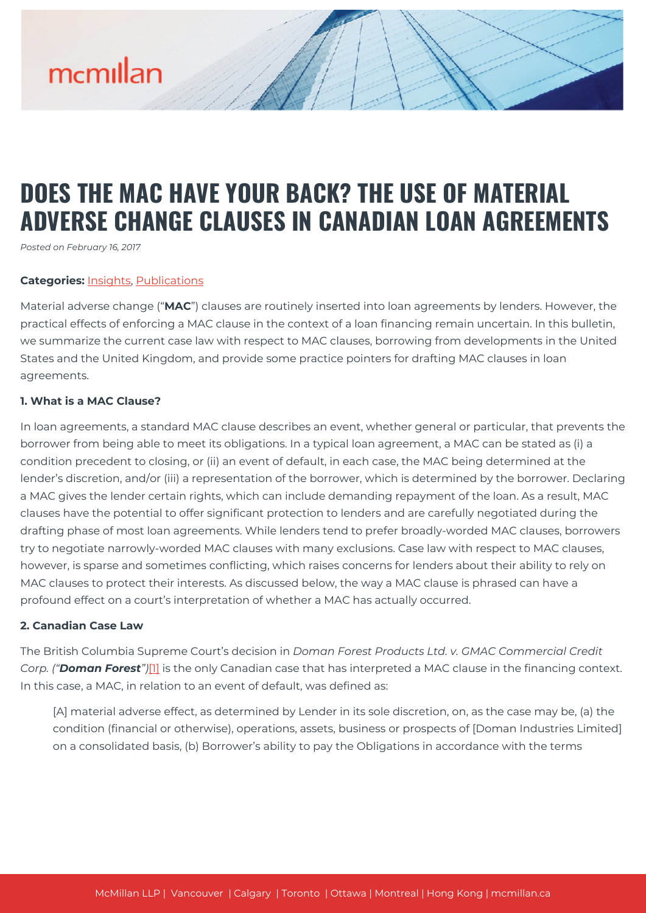### **DOES THE MAC HAVE YOUR BACK? THE USE OF MATERIAL ADVERSE CHANGE CLAUSES IN CANADIAN LOAN AGREEMENTS**

*Posted on February 16, 2017*

#### **Categories:** [Insights,](https://mcmillan.ca/insights/) [Publications](https://mcmillan.ca/insights/publications/)

Material adverse change ("**MAC**") clauses are routinely inserted into loan agreements by lenders. However, the practical effects of enforcing a MAC clause in the context of a loan financing remain uncertain. In this bulletin, we summarize the current case law with respect to MAC clauses, borrowing from developments in the United States and the United Kingdom, and provide some practice pointers for drafting MAC clauses in loan agreements.

#### **1. What is a MAC Clause?**

In loan agreements, a standard MAC clause describes an event, whether general or particular, that prevents the borrower from being able to meet its obligations. In a typical loan agreement, a MAC can be stated as (i) a condition precedent to closing, or (ii) an event of default, in each case, the MAC being determined at the lender's discretion, and/or (iii) a representation of the borrower, which is determined by the borrower. Declaring a MAC gives the lender certain rights, which can include demanding repayment of the loan. As a result, MAC clauses have the potential to offer significant protection to lenders and are carefully negotiated during the drafting phase of most loan agreements. While lenders tend to prefer broadly-worded MAC clauses, borrowers try to negotiate narrowly-worded MAC clauses with many exclusions. Case law with respect to MAC clauses, however, is sparse and sometimes conflicting, which raises concerns for lenders about their ability to rely on MAC clauses to protect their interests. As discussed below, the way a MAC clause is phrased can have a profound effect on a court's interpretation of whether a MAC has actually occurred.

#### **2. Canadian Case Law**

The British Columbia Supreme Court's decision in *Doman Forest Products Ltd. v. GMAC Commercial Credit Corp. ("Doman Forest")*[\[1\]](#page--1-0) is the only Canadian case that has interpreted a MAC clause in the financing context. In this case, a MAC, in relation to an event of default, was defined as:

[A] material adverse effect, as determined by Lender in its sole discretion, on, as the case may be, (a) the condition (financial or otherwise), operations, assets, business or prospects of [Doman Industries Limited] on a consolidated basis, (b) Borrower's ability to pay the Obligations in accordance with the terms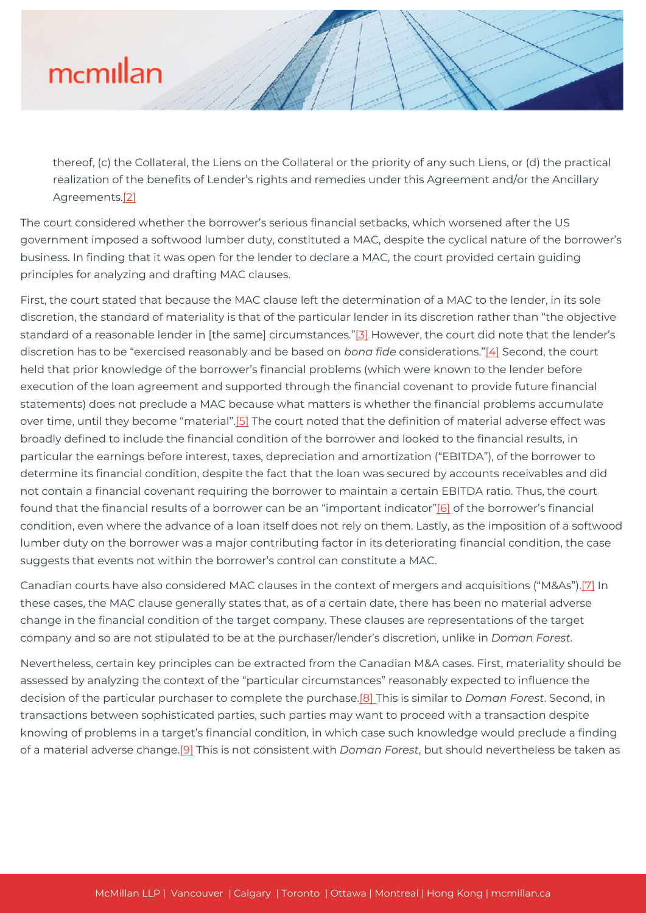thereof, (c) the Collateral, the Liens on the Collateral or the priority of any such Liens, or (d) the practical realization of the benefits of Lender's rights and remedies under this Agreement and/or the Ancillary Agreements[.\[2\]](#page--1-0)

The court considered whether the borrower's serious financial setbacks, which worsened after the US government imposed a softwood lumber duty, constituted a MAC, despite the cyclical nature of the borrower's business. In finding that it was open for the lender to declare a MAC, the court provided certain guiding principles for analyzing and drafting MAC clauses.

First, the court stated that because the MAC clause left the determination of a MAC to the lender, in its sole discretion, the standard of materiality is that of the particular lender in its discretion rather than "the objective standard of a reasonable lender in [the same] circumstances."[\[3\]](#page--1-0) However, the court did note that the lender's discretion has to be "exercised reasonably and be based on *bona fide* considerations.["\[4\]](#page--1-0) Second, the court held that prior knowledge of the borrower's financial problems (which were known to the lender before execution of the loan agreement and supported through the financial covenant to provide future financial statements) does not preclude a MAC because what matters is whether the financial problems accumulate over time, until they become "material".<sup>[5]</sup> The court noted that the definition of material adverse effect was broadly defined to include the financial condition of the borrower and looked to the financial results, in particular the earnings before interest, taxes, depreciation and amortization ("EBITDA"), of the borrower to determine its financial condition, despite the fact that the loan was secured by accounts receivables and did not contain a financial covenant requiring the borrower to maintain a certain EBITDA ratio. Thus, the court found that the financial results of a borrower can be an "important indicator"[\[6\]](#page--1-0) of the borrower's financial condition, even where the advance of a loan itself does not rely on them. Lastly, as the imposition of a softwood lumber duty on the borrower was a major contributing factor in its deteriorating financial condition, the case suggests that events not within the borrower's control can constitute a MAC.

Canadian courts have also considered MAC clauses in the context of mergers and acquisitions ("M&As")[.\[7\]](#page--1-0) In these cases, the MAC clause generally states that, as of a certain date, there has been no material adverse change in the financial condition of the target company. These clauses are representations of the target company and so are not stipulated to be at the purchaser/lender's discretion, unlike in *Doman Forest*.

Nevertheless, certain key principles can be extracted from the Canadian M&A cases. First, materiality should be assessed by analyzing the context of the "particular circumstances" reasonably expected to influence the decision of the particular purchaser to complete the purchase[.\[8\] T](#page--1-0)his is similar to *Doman Forest*. Second, in transactions between sophisticated parties, such parties may want to proceed with a transaction despite knowing of problems in a target's financial condition, in which case such knowledge would preclude a finding of a material adverse change.[\[9\]](#page--1-0) This is not consistent with *Doman Forest*, but should nevertheless be taken as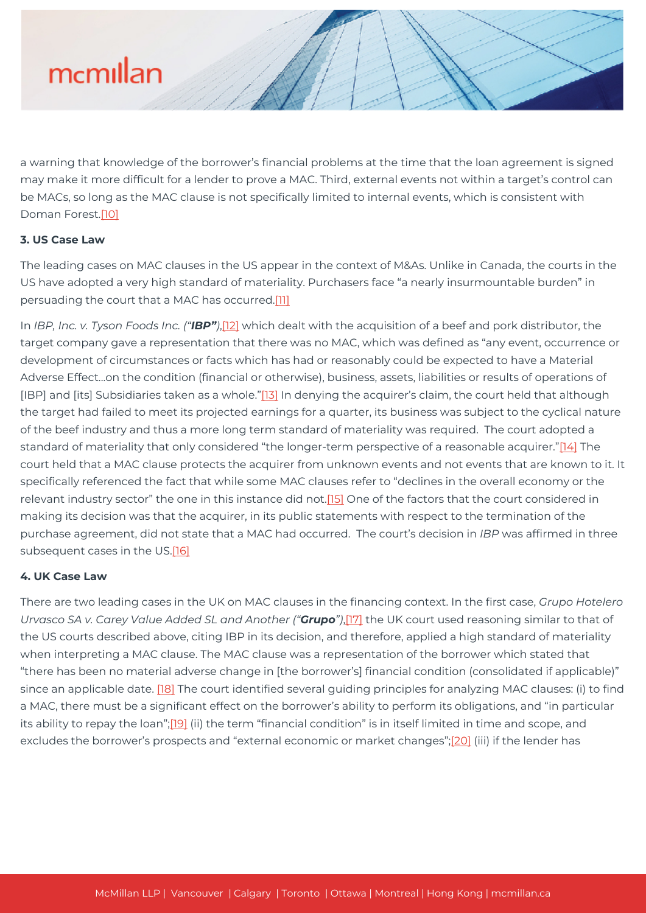a warning that knowledge of the borrower's financial problems at the time that the loan agreement is signed may make it more difficult for a lender to prove a MAC. Third, external events not within a target's control can be MACs, so long as the MAC clause is not specifically limited to internal events, which is consistent with Doman Forest.[\[10\]](#page--1-0)

#### **3. US Case Law**

The leading cases on MAC clauses in the US appear in the context of M&As. Unlike in Canada, the courts in the US have adopted a very high standard of materiality. Purchasers face "a nearly insurmountable burden" in persuading the court that a MAC has occurred[.\[11\]](#page--1-0)

In *IBP, Inc. v. Tyson Foods Inc. ("IBP")*,[\[12\]](#page--1-0) which dealt with the acquisition of a beef and pork distributor, the target company gave a representation that there was no MAC, which was defined as "any event, occurrence or development of circumstances or facts which has had or reasonably could be expected to have a Material Adverse Effect...on the condition (financial or otherwise), business, assets, liabilities or results of operations of [IBP] and [its] Subsidiaries taken as a whole."[\[13\]](#page--1-0) In denying the acquirer's claim, the court held that although the target had failed to meet its projected earnings for a quarter, its business was subject to the cyclical nature of the beef industry and thus a more long term standard of materiality was required. The court adopted a standard of materiality that only considered "the longer-term perspective of a reasonable acquirer."[\[14\]](#page--1-0) The court held that a MAC clause protects the acquirer from unknown events and not events that are known to it. It specifically referenced the fact that while some MAC clauses refer to "declines in the overall economy or the relevant industry sector" the one in this instance did not[.\[15\]](#page--1-0) One of the factors that the court considered in making its decision was that the acquirer, in its public statements with respect to the termination of the purchase agreement, did not state that a MAC had occurred. The court's decision in *IBP* was affirmed in three subsequent cases in the US.[\[16\]](#page--1-0)

#### **4. UK Case Law**

There are two leading cases in the UK on MAC clauses in the financing context. In the first case, *Grupo Hotelero Urvasco SA v. Carey Value Added SL and Another ("Grupo")*[,\[17\]](#page--1-0) the UK court used reasoning similar to that of the US courts described above, citing IBP in its decision, and therefore, applied a high standard of materiality when interpreting a MAC clause. The MAC clause was a representation of the borrower which stated that "there has been no material adverse change in [the borrower's] financial condition (consolidated if applicable)" since an applicable date. [\[18\]](#page--1-0) The court identified several guiding principles for analyzing MAC clauses: (i) to find a MAC, there must be a significant effect on the borrower's ability to perform its obligations, and "in particular its ability to repay the loan";[\[19\]](#page--1-0) (ii) the term "financial condition" is in itself limited in time and scope, and excludes the borrower's prospects and "external economic or market changes";[\[20\]](#page--1-0) (iii) if the lender has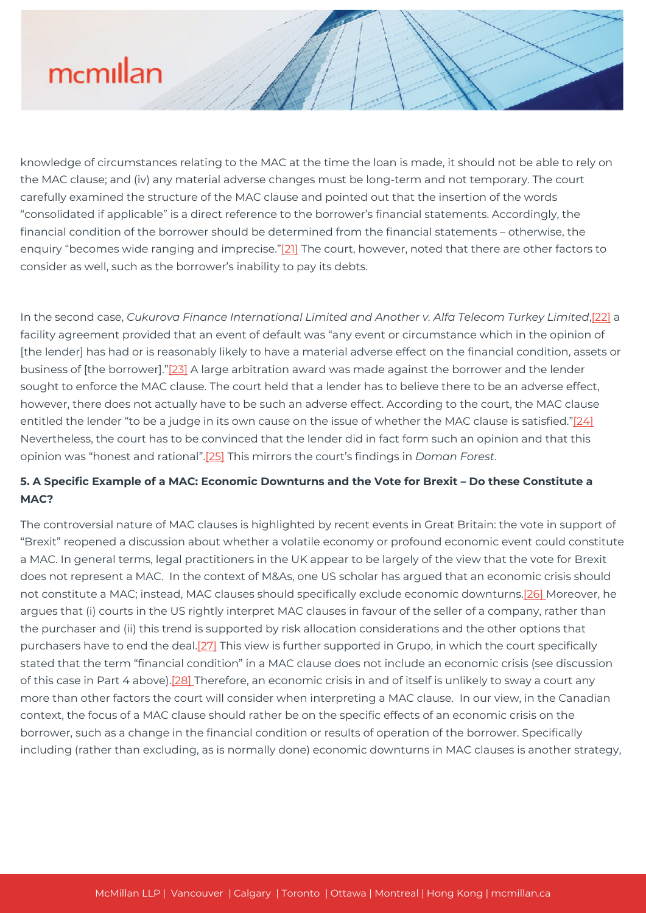knowledge of circumstances relating to the MAC at the time the loan is made, it should not be able to rely on the MAC clause; and (iv) any material adverse changes must be long-term and not temporary. The court carefully examined the structure of the MAC clause and pointed out that the insertion of the words "consolidated if applicable" is a direct reference to the borrower's financial statements. Accordingly, the financial condition of the borrower should be determined from the financial statements – otherwise, the enquiry "becomes wide ranging and imprecise.["\[21\]](#page--1-0) The court, however, noted that there are other factors to consider as well, such as the borrower's inability to pay its debts.

In the second case, *Cukurova Finance International Limited and Another v. Alfa Telecom Turkey Limited*[,\[22\]](#page--1-0) a facility agreement provided that an event of default was "any event or circumstance which in the opinion of [the lender] has had or is reasonably likely to have a material adverse effect on the financial condition, assets or business of [the borrower].["\[23\]](#page--1-0) A large arbitration award was made against the borrower and the lender sought to enforce the MAC clause. The court held that a lender has to believe there to be an adverse effect, however, there does not actually have to be such an adverse effect. According to the court, the MAC clause entitled the lender "to be a judge in its own cause on the issue of whether the MAC clause is satisfied.["\[24\]](#page--1-0) Nevertheless, the court has to be convinced that the lender did in fact form such an opinion and that this opinion was "honest and rational"[.\[25\]](#page--1-0) This mirrors the court's findings in *Doman Forest*.

#### **5. A Specific Example of a MAC: Economic Downturns and the Vote for Brexit – Do these Constitute a MAC?**

The controversial nature of MAC clauses is highlighted by recent events in Great Britain: the vote in support of "Brexit" reopened a discussion about whether a volatile economy or profound economic event could constitute a MAC. In general terms, legal practitioners in the UK appear to be largely of the view that the vote for Brexit does not represent a MAC. In the context of M&As, one US scholar has argued that an economic crisis should not constitute a MAC; instead, MAC clauses should specifically exclude economic downturns.[\[26\]](#page--1-0) Moreover, he argues that (i) courts in the US rightly interpret MAC clauses in favour of the seller of a company, rather than the purchaser and (ii) this trend is supported by risk allocation considerations and the other options that purchasers have to end the deal.[\[27\]](#page--1-0) This view is further supported in Grupo, in which the court specifically stated that the term "financial condition" in a MAC clause does not include an economic crisis (see discussion of this case in Part 4 above)[.\[28\]](#page--1-0) Therefore, an economic crisis in and of itself is unlikely to sway a court any more than other factors the court will consider when interpreting a MAC clause. In our view, in the Canadian context, the focus of a MAC clause should rather be on the specific effects of an economic crisis on the borrower, such as a change in the financial condition or results of operation of the borrower. Specifically including (rather than excluding, as is normally done) economic downturns in MAC clauses is another strategy,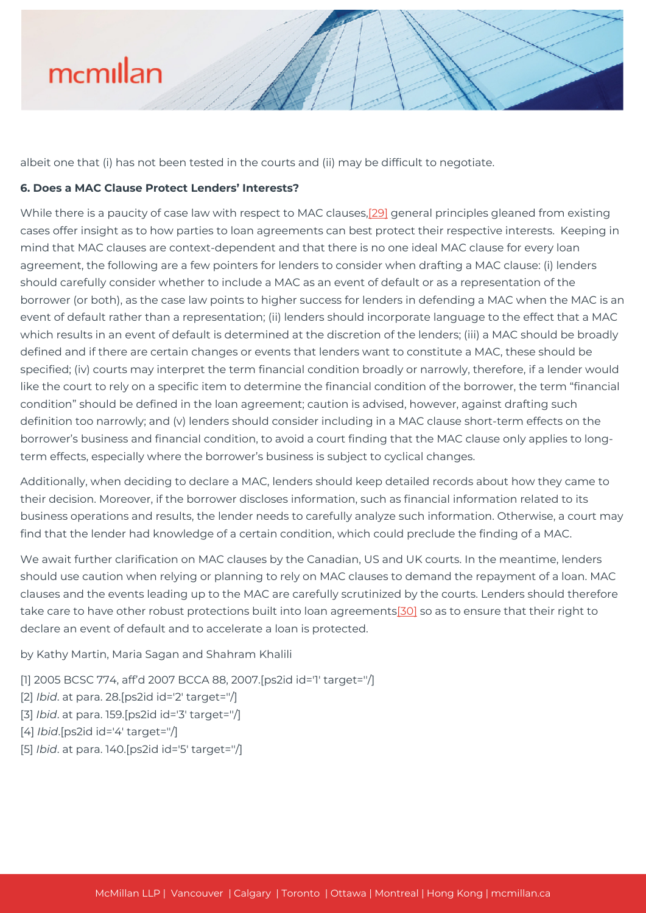albeit one that (i) has not been tested in the courts and (ii) may be difficult to negotiate.

#### **6. Does a MAC Clause Protect Lenders' Interests?**

While there is a paucity of case law with respect to MAC clauses[,\[29\]](#page--1-0) general principles gleaned from existing cases offer insight as to how parties to loan agreements can best protect their respective interests. Keeping in mind that MAC clauses are context-dependent and that there is no one ideal MAC clause for every loan agreement, the following are a few pointers for lenders to consider when drafting a MAC clause: (i) lenders should carefully consider whether to include a MAC as an event of default or as a representation of the borrower (or both), as the case law points to higher success for lenders in defending a MAC when the MAC is an event of default rather than a representation; (ii) lenders should incorporate language to the effect that a MAC which results in an event of default is determined at the discretion of the lenders; (iii) a MAC should be broadly defined and if there are certain changes or events that lenders want to constitute a MAC, these should be specified; (iv) courts may interpret the term financial condition broadly or narrowly, therefore, if a lender would like the court to rely on a specific item to determine the financial condition of the borrower, the term "financial condition" should be defined in the loan agreement; caution is advised, however, against drafting such definition too narrowly; and (v) lenders should consider including in a MAC clause short-term effects on the borrower's business and financial condition, to avoid a court finding that the MAC clause only applies to longterm effects, especially where the borrower's business is subject to cyclical changes.

Additionally, when deciding to declare a MAC, lenders should keep detailed records about how they came to their decision. Moreover, if the borrower discloses information, such as financial information related to its business operations and results, the lender needs to carefully analyze such information. Otherwise, a court may find that the lender had knowledge of a certain condition, which could preclude the finding of a MAC.

We await further clarification on MAC clauses by the Canadian, US and UK courts. In the meantime, lenders should use caution when relying or planning to rely on MAC clauses to demand the repayment of a loan. MAC clauses and the events leading up to the MAC are carefully scrutinized by the courts. Lenders should therefore take care to have other robust protections built into loan agreements[\[30\]](#page--1-0) so as to ensure that their right to declare an event of default and to accelerate a loan is protected.

by Kathy Martin, Maria Sagan and Shahram Khalili

- [1] 2005 BCSC 774, aff'd 2007 BCCA 88, 2007. [ps2id id='1' target="/]
- [2] *Ibid*. at para. 28.[ps2id id='2' target=''/]
- [3] *Ibid*. at para. 159.[ps2id id='3' target=''/]
- [4] *Ibid*.[ps2id id='4' target=''/]
- [5] *Ibid*. at para. 140.[ps2id id='5' target=''/]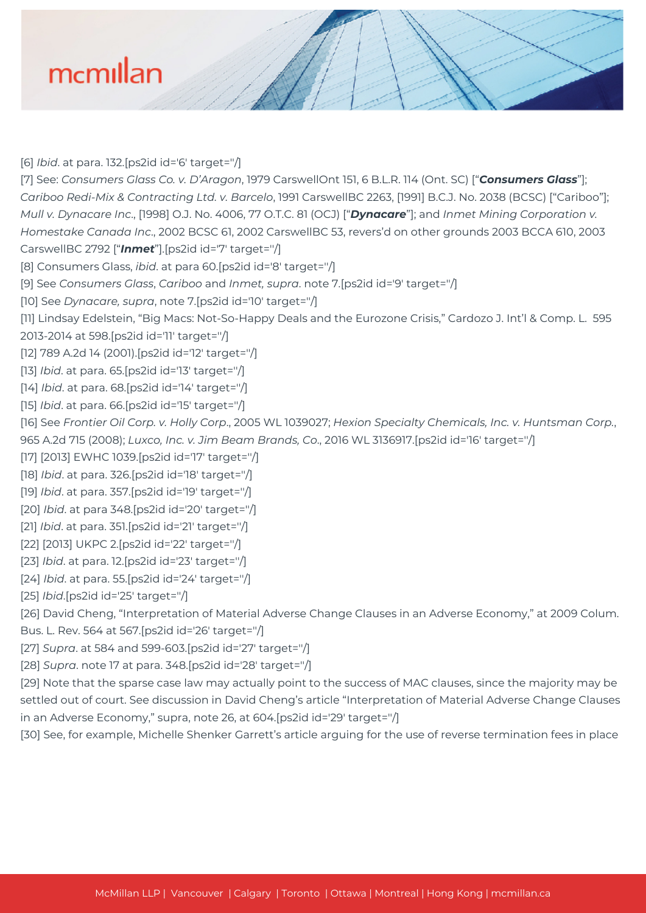[6] *Ibid*. at para. 132.[ps2id id='6' target=''/] [7] See: *Consumers Glass Co. v. D'Aragon*, 1979 CarswellOnt 151, 6 B.L.R. 114 (Ont. SC) ["*Consumers Glass*"]; *Cariboo Redi-Mix & Contracting Ltd. v. Barcelo*, 1991 CarswellBC 2263, [1991] B.C.J. No. 2038 (BCSC) ["Cariboo"]; *Mull v. Dynacare Inc*., [1998] O.J. No. 4006, 77 O.T.C. 81 (OCJ) ["*Dynacare*"]; and *Inmet Mining Corporation v. Homestake Canada Inc*., 2002 BCSC 61, 2002 CarswellBC 53, revers'd on other grounds 2003 BCCA 610, 2003 CarswellBC 2792 ["*Inmet*"].[ps2id id='7' target=''/] [8] Consumers Glass, *ibid*. at para 60.[ps2id id='8' target=''/]

[9] See *Consumers Glass*, *Cariboo* and *Inmet, supra*. note 7.[ps2id id='9' target=''/]

[10] See *Dynacare, supra*, note 7.[ps2id id='10' target=''/]

[11] Lindsay Edelstein, "Big Macs: Not-So-Happy Deals and the Eurozone Crisis," Cardozo J. Int'l & Comp. L. 595

2013-2014 at 598.[ps2id id='11' target=''/]

[12] 789 A.2d 14 (2001).[ps2id id='12' target=''/]

[13] *Ibid*. at para. 65.[ps2id id='13' target=''/]

[14] *Ibid*. at para. 68.[ps2id id='14' target=''/]

[15] *Ibid*. at para. 66.[ps2id id='15' target=''/]

[16] See *Frontier Oil Corp. v. Holly Corp*., 2005 WL 1039027; *Hexion Specialty Chemicals, Inc. v. Huntsman Corp.*, 965 A.2d 715 (2008); *Luxco, Inc. v. Jim Beam Brands, Co*., 2016 WL 3136917.[ps2id id='16' target=''/]

[17] [2013] EWHC 1039. [ps2id id='17' target="/]

[18] *Ibid*. at para. 326.[ps2id id='18' target=''/]

[19] *Ibid*. at para. 357.[ps2id id='19' target=''/]

[20] *Ibid*. at para 348.[ps2id id='20' target=''/]

[21] *Ibid*. at para. 351.[ps2id id='21' target=''/]

[22] [2013] UKPC 2.[ps2id id='22' target=''/]

[23] *Ibid*. at para. 12.[ps2id id='23' target=''/]

[24] *Ibid*. at para. 55.[ps2id id='24' target=''/]

[25] *Ibid*.[ps2id id='25' target=''/]

[26] David Cheng, "Interpretation of Material Adverse Change Clauses in an Adverse Economy," at 2009 Colum. Bus. L. Rev. 564 at 567.[ps2id id='26' target=''/]

[27] *Supra*. at 584 and 599-603.[ps2id id='27' target=''/]

[28] *Supra*. note 17 at para. 348.[ps2id id='28' target=''/]

[29] Note that the sparse case law may actually point to the success of MAC clauses, since the majority may be settled out of court. See discussion in David Cheng's article "Interpretation of Material Adverse Change Clauses in an Adverse Economy," supra, note 26, at 604.[ps2id id='29' target=''/]

[30] See, for example, Michelle Shenker Garrett's article arguing for the use of reverse termination fees in place